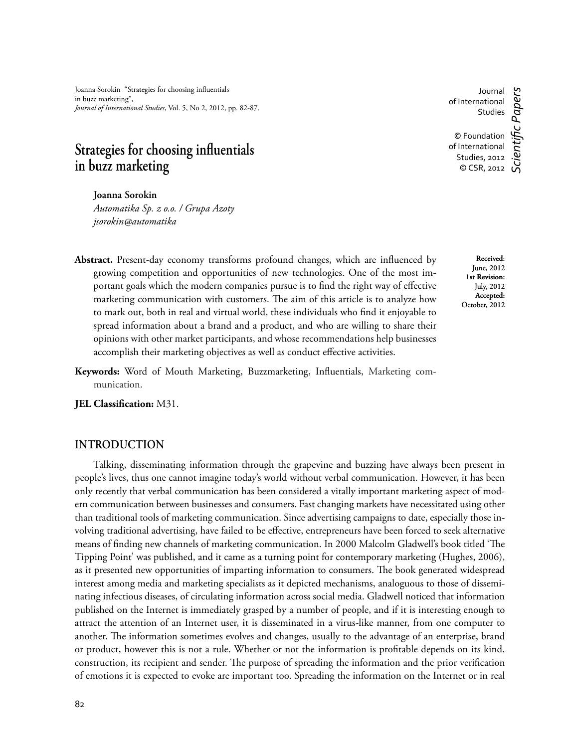Joanna Sorokin "Strategies for choosing influentials in buzz marketing", *Journal of International Studies*, Vol. 5, No 2, 2012, pp. 82-87.

# **Strategies for choosing influentials in buzz marketing**

**Joanna Sorokin** 

*Automatika Sp. z o.o. / Grupa Azoty jsorokin@automatika*

- Abstract. Present-day economy transforms profound changes, which are influenced by growing competition and opportunities of new technologies. One of the most important goals which the modern companies pursue is to find the right way of effective marketing communication with customers. The aim of this article is to analyze how to mark out, both in real and virtual world, these individuals who find it enjoyable to spread information about a brand and a product, and who are willing to share their opinions with other market participants, and whose recommendations help businesses accomplish their marketing objectives as well as conduct effective activities.
- Keywords: Word of Mouth Marketing, Buzzmarketing, Influentials, Marketing communication.

**JEL Classification:** M31.

## **INTRODUCTION**

Talking, disseminating information through the grapevine and buzzing have always been present in people's lives, thus one cannot imagine today's world without verbal communication. However, it has been only recently that verbal communication has been considered a vitally important marketing aspect of modern communication between businesses and consumers. Fast changing markets have necessitated using other than traditional tools of marketing communication. Since advertising campaigns to date, especially those involving traditional advertising, have failed to be effective, entrepreneurs have been forced to seek alternative means of finding new channels of marketing communication. In 2000 Malcolm Gladwell's book titled 'The Tipping Point' was published, and it came as a turning point for contemporary marketing (Hughes, 2006), as it presented new opportunities of imparting information to consumers. The book generated widespread interest among media and marketing specialists as it depicted mechanisms, analoguous to those of disseminating infectious diseases, of circulating information across social media. Gladwell noticed that information published on the Internet is immediately grasped by a number of people, and if it is interesting enough to attract the attention of an Internet user, it is disseminated in a virus-like manner, from one computer to another. The information sometimes evolves and changes, usually to the advantage of an enterprise, brand or product, however this is not a rule. Whether or not the information is profitable depends on its kind, construction, its recipient and sender. The purpose of spreading the information and the prior verification of emotions it is expected to evoke are important too. Spreading the information on the Internet or in real

Studies © Foundation of International Studies, 2012  $\sum_{\text{O}}$  CSR, 2012 *Scientifi c Papers*

Journal of International

> **Received**: June, 2012 **1st Revision:**  July, 2012 **Accepted:**  October, 2012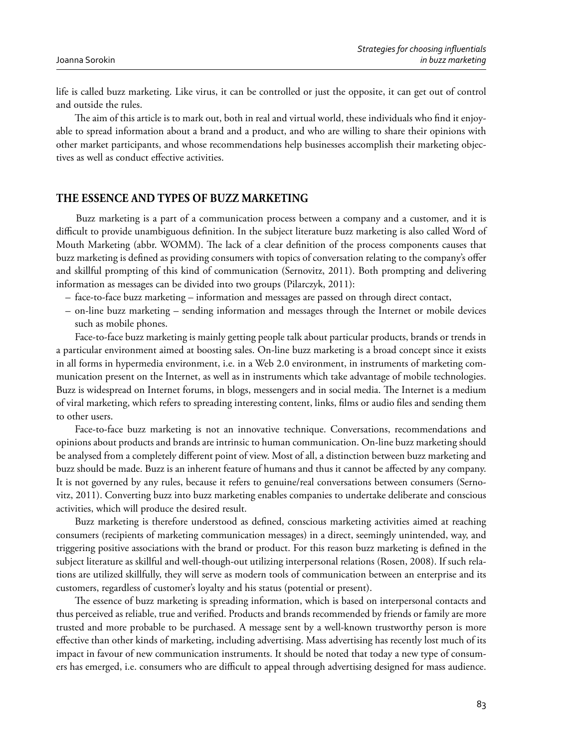life is called buzz marketing. Like virus, it can be controlled or just the opposite, it can get out of control and outside the rules.

The aim of this article is to mark out, both in real and virtual world, these individuals who find it enjoyable to spread information about a brand and a product, and who are willing to share their opinions with other market participants, and whose recommendations help businesses accomplish their marketing objectives as well as conduct effective activities.

# **THE ESSENCE AND TYPES OF BUZZ MARKETING**

Buzz marketing is a part of a communication process between a company and a customer, and it is difficult to provide unambiguous definition. In the subject literature buzz marketing is also called Word of Mouth Marketing (abbr. WOMM). The lack of a clear definition of the process components causes that buzz marketing is defined as providing consumers with topics of conversation relating to the company's offer and skillful prompting of this kind of communication (Sernovitz, 2011). Both prompting and delivering information as messages can be divided into two groups (Pilarczyk, 2011):

- face-to-face buzz marketing information and messages are passed on through direct contact,
- on-line buzz marketing sending information and messages through the Internet or mobile devices such as mobile phones.

Face-to-face buzz marketing is mainly getting people talk about particular products, brands or trends in a particular environment aimed at boosting sales. On-line buzz marketing is a broad concept since it exists in all forms in hypermedia environment, i.e. in a Web 2.0 environment, in instruments of marketing communication present on the Internet, as well as in instruments which take advantage of mobile technologies. Buzz is widespread on Internet forums, in blogs, messengers and in social media. The Internet is a medium of viral marketing, which refers to spreading interesting content, links, films or audio files and sending them to other users.

Face-to-face buzz marketing is not an innovative technique. Conversations, recommendations and opinions about products and brands are intrinsic to human communication. On-line buzz marketing should be analysed from a completely different point of view. Most of all, a distinction between buzz marketing and buzz should be made. Buzz is an inherent feature of humans and thus it cannot be affected by any company. It is not governed by any rules, because it refers to genuine/real conversations between consumers (Sernovitz, 2011). Converting buzz into buzz marketing enables companies to undertake deliberate and conscious activities, which will produce the desired result.

Buzz marketing is therefore understood as defined, conscious marketing activities aimed at reaching consumers (recipients of marketing communication messages) in a direct, seemingly unintended, way, and triggering positive associations with the brand or product. For this reason buzz marketing is defined in the subject literature as skillful and well-though-out utilizing interpersonal relations (Rosen, 2008). If such relations are utilized skillfully, they will serve as modern tools of communication between an enterprise and its customers, regardless of customer's loyalty and his status (potential or present).

The essence of buzz marketing is spreading information, which is based on interpersonal contacts and thus perceived as reliable, true and verified. Products and brands recommended by friends or family are more trusted and more probable to be purchased. A message sent by a well-known trustworthy person is more effective than other kinds of marketing, including advertising. Mass advertising has recently lost much of its impact in favour of new communication instruments. It should be noted that today a new type of consumers has emerged, i.e. consumers who are difficult to appeal through advertising designed for mass audience.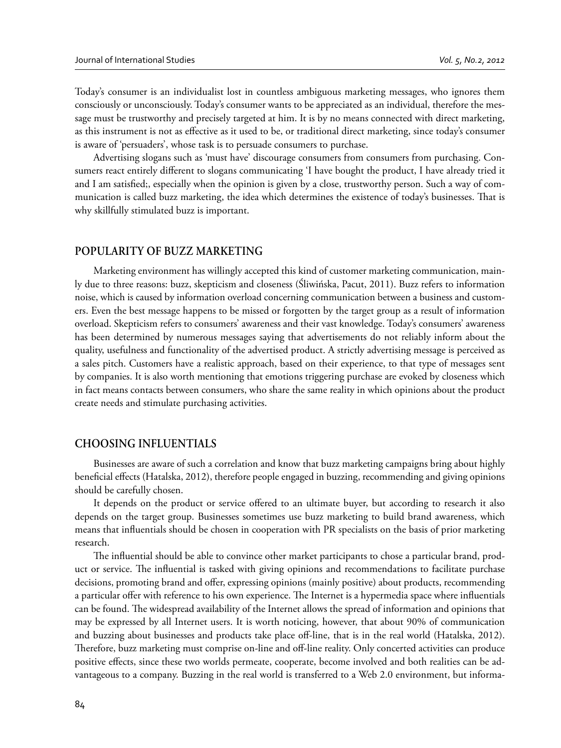Today's consumer is an individualist lost in countless ambiguous marketing messages, who ignores them consciously or unconsciously. Today's consumer wants to be appreciated as an individual, therefore the message must be trustworthy and precisely targeted at him. It is by no means connected with direct marketing, as this instrument is not as effective as it used to be, or traditional direct marketing, since today's consumer is aware of 'persuaders', whose task is to persuade consumers to purchase.

Advertising slogans such as 'must have' discourage consumers from consumers from purchasing. Consumers react entirely different to slogans communicating 'I have bought the product, I have already tried it and I am satisfied;, especially when the opinion is given by a close, trustworthy person. Such a way of communication is called buzz marketing, the idea which determines the existence of today's businesses. That is why skillfully stimulated buzz is important.

#### **POPULARITY OF BUZZ MARKETING**

Marketing environment has willingly accepted this kind of customer marketing communication, mainly due to three reasons: buzz, skepticism and closeness (Śliwińska, Pacut, 2011). Buzz refers to information noise, which is caused by information overload concerning communication between a business and customers. Even the best message happens to be missed or forgotten by the target group as a result of information overload. Skepticism refers to consumers' awareness and their vast knowledge. Today's consumers' awareness has been determined by numerous messages saying that advertisements do not reliably inform about the quality, usefulness and functionality of the advertised product. A strictly advertising message is perceived as a sales pitch. Customers have a realistic approach, based on their experience, to that type of messages sent by companies. It is also worth mentioning that emotions triggering purchase are evoked by closeness which in fact means contacts between consumers, who share the same reality in which opinions about the product create needs and stimulate purchasing activities.

#### **CHOOSING INFLUENTIALS**

Businesses are aware of such a correlation and know that buzz marketing campaigns bring about highly beneficial effects (Hatalska, 2012), therefore people engaged in buzzing, recommending and giving opinions should be carefully chosen.

It depends on the product or service offered to an ultimate buyer, but according to research it also depends on the target group. Businesses sometimes use buzz marketing to build brand awareness, which means that influentials should be chosen in cooperation with PR specialists on the basis of prior marketing research.

The influential should be able to convince other market participants to chose a particular brand, product or service. The influential is tasked with giving opinions and recommendations to facilitate purchase decisions, promoting brand and offer, expressing opinions (mainly positive) about products, recommending a particular offer with reference to his own experience. The Internet is a hypermedia space where influentials can be found. The widespread availability of the Internet allows the spread of information and opinions that may be expressed by all Internet users. It is worth noticing, however, that about 90% of communication and buzzing about businesses and products take place off -line, that is in the real world (Hatalska, 2012). Therefore, buzz marketing must comprise on-line and off-line reality. Only concerted activities can produce positive effects, since these two worlds permeate, cooperate, become involved and both realities can be advantageous to a company. Buzzing in the real world is transferred to a Web 2.0 environment, but informa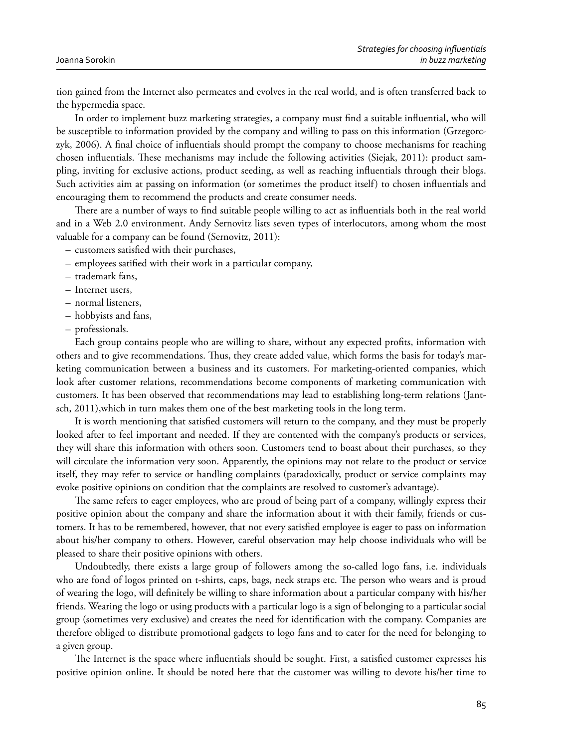tion gained from the Internet also permeates and evolves in the real world, and is often transferred back to the hypermedia space.

In order to implement buzz marketing strategies, a company must find a suitable influential, who will be susceptible to information provided by the company and willing to pass on this information (Grzegorczyk, 2006). A final choice of influentials should prompt the company to choose mechanisms for reaching chosen influentials. These mechanisms may include the following activities (Siejak, 2011): product sampling, inviting for exclusive actions, product seeding, as well as reaching influentials through their blogs. Such activities aim at passing on information (or sometimes the product itself) to chosen influentials and encouraging them to recommend the products and create consumer needs.

There are a number of ways to find suitable people willing to act as influentials both in the real world and in a Web 2.0 environment. Andy Sernovitz lists seven types of interlocutors, among whom the most valuable for a company can be found (Sernovitz, 2011):

- customers satisfied with their purchases,
- employees satified with their work in a particular company,
- trademark fans,
- Internet users,
- normal listeners,
- hobbyists and fans,
- professionals.

Each group contains people who are willing to share, without any expected profits, information with others and to give recommendations. Thus, they create added value, which forms the basis for today's marketing communication between a business and its customers. For marketing-oriented companies, which look after customer relations, recommendations become components of marketing communication with customers. It has been observed that recommendations may lead to establishing long-term relations (Jantsch, 2011),which in turn makes them one of the best marketing tools in the long term.

It is worth mentioning that satisfied customers will return to the company, and they must be properly looked after to feel important and needed. If they are contented with the company's products or services, they will share this information with others soon. Customers tend to boast about their purchases, so they will circulate the information very soon. Apparently, the opinions may not relate to the product or service itself, they may refer to service or handling complaints (paradoxically, product or service complaints may evoke positive opinions on condition that the complaints are resolved to customer's advantage).

The same refers to eager employees, who are proud of being part of a company, willingly express their positive opinion about the company and share the information about it with their family, friends or customers. It has to be remembered, however, that not every satisfied employee is eager to pass on information about his/her company to others. However, careful observation may help choose individuals who will be pleased to share their positive opinions with others.

Undoubtedly, there exists a large group of followers among the so-called logo fans, i.e. individuals who are fond of logos printed on t-shirts, caps, bags, neck straps etc. The person who wears and is proud of wearing the logo, will definitely be willing to share information about a particular company with his/her friends. Wearing the logo or using products with a particular logo is a sign of belonging to a particular social group (sometimes very exclusive) and creates the need for identification with the company. Companies are therefore obliged to distribute promotional gadgets to logo fans and to cater for the need for belonging to a given group.

The Internet is the space where influentials should be sought. First, a satisfied customer expresses his positive opinion online. It should be noted here that the customer was willing to devote his/her time to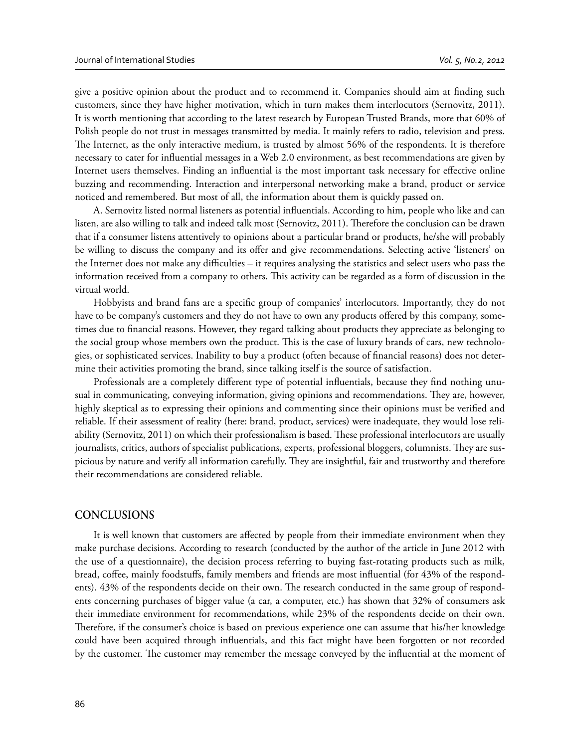give a positive opinion about the product and to recommend it. Companies should aim at finding such customers, since they have higher motivation, which in turn makes them interlocutors (Sernovitz, 2011). It is worth mentioning that according to the latest research by European Trusted Brands, more that 60% of Polish people do not trust in messages transmitted by media. It mainly refers to radio, television and press. The Internet, as the only interactive medium, is trusted by almost 56% of the respondents. It is therefore necessary to cater for influential messages in a Web 2.0 environment, as best recommendations are given by Internet users themselves. Finding an influential is the most important task necessary for effective online buzzing and recommending. Interaction and interpersonal networking make a brand, product or service noticed and remembered. But most of all, the information about them is quickly passed on.

A. Sernovitz listed normal listeners as potential influentials. According to him, people who like and can listen, are also willing to talk and indeed talk most (Sernovitz, 2011). Therefore the conclusion can be drawn that if a consumer listens attentively to opinions about a particular brand or products, he/she will probably be willing to discuss the company and its offer and give recommendations. Selecting active 'listeners' on the Internet does not make any difficulties – it requires analysing the statistics and select users who pass the information received from a company to others. This activity can be regarded as a form of discussion in the virtual world.

Hobbyists and brand fans are a specific group of companies' interlocutors. Importantly, they do not have to be company's customers and they do not have to own any products offered by this company, sometimes due to financial reasons. However, they regard talking about products they appreciate as belonging to the social group whose members own the product. This is the case of luxury brands of cars, new technologies, or sophisticated services. Inability to buy a product (often because of financial reasons) does not determine their activities promoting the brand, since talking itself is the source of satisfaction.

Professionals are a completely different type of potential influentials, because they find nothing unusual in communicating, conveying information, giving opinions and recommendations. They are, however, highly skeptical as to expressing their opinions and commenting since their opinions must be verified and reliable. If their assessment of reality (here: brand, product, services) were inadequate, they would lose reliability (Sernovitz, 2011) on which their professionalism is based. These professional interlocutors are usually journalists, critics, authors of specialist publications, experts, professional bloggers, columnists. They are suspicious by nature and verify all information carefully. They are insightful, fair and trustworthy and therefore their recommendations are considered reliable.

# **CONCLUSIONS**

It is well known that customers are affected by people from their immediate environment when they make purchase decisions. According to research (conducted by the author of the article in June 2012 with the use of a questionnaire), the decision process referring to buying fast-rotating products such as milk, bread, coffee, mainly foodstuffs, family members and friends are most influential (for 43% of the respondents). 43% of the respondents decide on their own. The research conducted in the same group of respondents concerning purchases of bigger value (a car, a computer, etc.) has shown that 32% of consumers ask their immediate environment for recommendations, while 23% of the respondents decide on their own. Therefore, if the consumer's choice is based on previous experience one can assume that his/her knowledge could have been acquired through influentials, and this fact might have been forgotten or not recorded by the customer. The customer may remember the message conveyed by the influential at the moment of